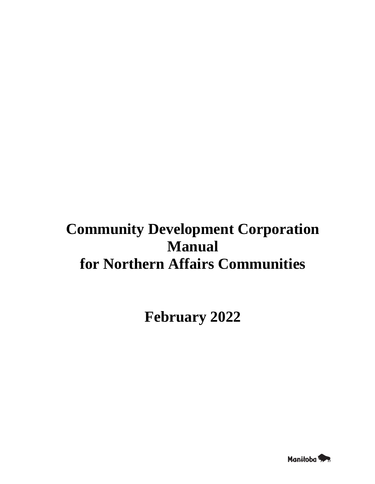# **Community Development Corporation Manual for Northern Affairs Communities**

**February 2022**

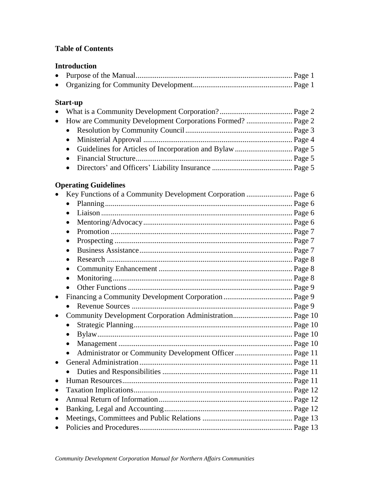# **Table of Contents**

# **Introduction**

# **Start-up**

# **Operating Guidelines**

|           | Key Functions of a Community Development Corporation  Page 6 |  |
|-----------|--------------------------------------------------------------|--|
|           | $\bullet$                                                    |  |
|           |                                                              |  |
|           |                                                              |  |
|           |                                                              |  |
|           |                                                              |  |
|           |                                                              |  |
|           |                                                              |  |
|           | $\bullet$                                                    |  |
|           |                                                              |  |
|           |                                                              |  |
| $\bullet$ |                                                              |  |
|           |                                                              |  |
| $\bullet$ |                                                              |  |
|           |                                                              |  |
|           | $\bullet$                                                    |  |
|           |                                                              |  |
|           | Administrator or Community Development Officer  Page 11      |  |
|           |                                                              |  |
|           |                                                              |  |
|           |                                                              |  |
| ٠         |                                                              |  |
|           |                                                              |  |
|           |                                                              |  |
|           |                                                              |  |
|           |                                                              |  |
|           |                                                              |  |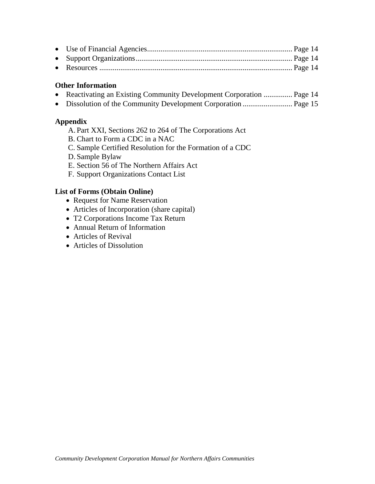## **Other Information**

- Reactivating an Existing Community Development Corporation ............... Page 14
- Dissolution of the Community Development Corporation .......................... Page 15

## **Appendix**

- A. Part XXI, Sections 262 to 264 of The Corporations Act
- B. Chart to Form a CDC in a NAC
- C. Sample Certified Resolution for the Formation of a CDC
- D. Sample Bylaw
- E. Section 56 of The Northern Affairs Act
- F. Support Organizations Contact List

## **List of Forms (Obtain Online)**

- Request for Name Reservation
- Articles of Incorporation (share capital)
- T2 Corporations Income Tax Return
- Annual Return of Information
- Articles of Revival
- Articles of Dissolution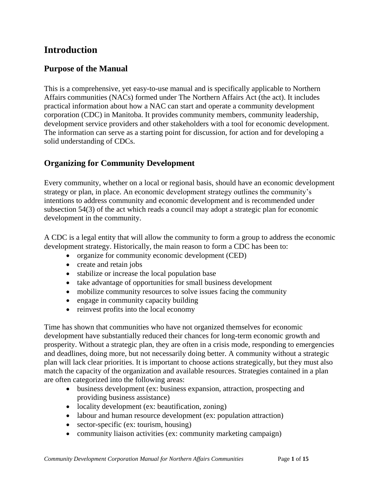# **Introduction**

# **Purpose of the Manual**

This is a comprehensive, yet easy-to-use manual and is specifically applicable to Northern Affairs communities (NACs) formed under The Northern Affairs Act (the act). It includes practical information about how a NAC can start and operate a community development corporation (CDC) in Manitoba. It provides community members, community leadership, development service providers and other stakeholders with a tool for economic development. The information can serve as a starting point for discussion, for action and for developing a solid understanding of CDCs.

# **Organizing for Community Development**

Every community, whether on a local or regional basis, should have an economic development strategy or plan, in place. An economic development strategy outlines the community's intentions to address community and economic development and is recommended under subsection 54(3) of the act which reads a council may adopt a strategic plan for economic development in the community.

A CDC is a legal entity that will allow the community to form a group to address the economic development strategy. Historically, the main reason to form a CDC has been to:

- organize for community economic development (CED)
- create and retain jobs
- stabilize or increase the local population base
- take advantage of opportunities for small business development
- mobilize community resources to solve issues facing the community
- engage in community capacity building
- reinvest profits into the local economy

Time has shown that communities who have not organized themselves for economic development have substantially reduced their chances for long-term economic growth and prosperity. Without a strategic plan, they are often in a crisis mode, responding to emergencies and deadlines, doing more, but not necessarily doing better. A community without a strategic plan will lack clear priorities. It is important to choose actions strategically, but they must also match the capacity of the organization and available resources. Strategies contained in a plan are often categorized into the following areas:

- business development (ex: business expansion, attraction, prospecting and providing business assistance)
- locality development (ex: beautification, zoning)
- labour and human resource development (ex: population attraction)
- sector-specific (ex: tourism, housing)
- community liaison activities (ex: community marketing campaign)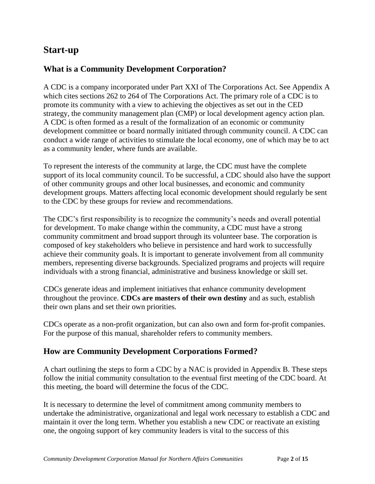# **Start-up**

# **What is a Community Development Corporation?**

A CDC is a company incorporated under Part XXI of The Corporations Act. See Appendix A which cites sections 262 to 264 of The Corporations Act. The primary role of a CDC is to promote its community with a view to achieving the objectives as set out in the CED strategy, the community management plan (CMP) or local development agency action plan. A CDC is often formed as a result of the formalization of an economic or community development committee or board normally initiated through community council. A CDC can conduct a wide range of activities to stimulate the local economy, one of which may be to act as a community lender, where funds are available.

To represent the interests of the community at large, the CDC must have the complete support of its local community council. To be successful, a CDC should also have the support of other community groups and other local businesses, and economic and community development groups. Matters affecting local economic development should regularly be sent to the CDC by these groups for review and recommendations.

The CDC's first responsibility is to recognize the community's needs and overall potential for development. To make change within the community, a CDC must have a strong community commitment and broad support through its volunteer base. The corporation is composed of key stakeholders who believe in persistence and hard work to successfully achieve their community goals. It is important to generate involvement from all community members, representing diverse backgrounds. Specialized programs and projects will require individuals with a strong financial, administrative and business knowledge or skill set.

CDCs generate ideas and implement initiatives that enhance community development throughout the province. **CDCs are masters of their own destiny** and as such, establish their own plans and set their own priorities.

CDCs operate as a non-profit organization, but can also own and form for-profit companies. For the purpose of this manual, shareholder refers to community members.

# **How are Community Development Corporations Formed?**

A chart outlining the steps to form a CDC by a NAC is provided in Appendix B. These steps follow the initial community consultation to the eventual first meeting of the CDC board. At this meeting, the board will determine the focus of the CDC.

It is necessary to determine the level of commitment among community members to undertake the administrative, organizational and legal work necessary to establish a CDC and maintain it over the long term. Whether you establish a new CDC or reactivate an existing one, the ongoing support of key community leaders is vital to the success of this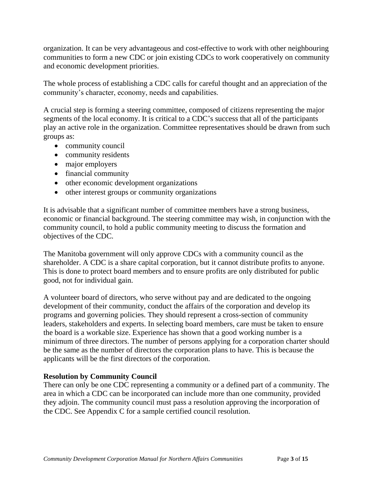organization. It can be very advantageous and cost-effective to work with other neighbouring communities to form a new CDC or join existing CDCs to work cooperatively on community and economic development priorities.

The whole process of establishing a CDC calls for careful thought and an appreciation of the community's character, economy, needs and capabilities.

A crucial step is forming a steering committee, composed of citizens representing the major segments of the local economy. It is critical to a CDC's success that all of the participants play an active role in the organization. Committee representatives should be drawn from such groups as:

- community council
- community residents
- major employers
- financial community
- other economic development organizations
- other interest groups or community organizations

It is advisable that a significant number of committee members have a strong business, economic or financial background. The steering committee may wish, in conjunction with the community council, to hold a public community meeting to discuss the formation and objectives of the CDC.

The Manitoba government will only approve CDCs with a community council as the shareholder. A CDC is a share capital corporation, but it cannot distribute profits to anyone. This is done to protect board members and to ensure profits are only distributed for public good, not for individual gain.

A volunteer board of directors, who serve without pay and are dedicated to the ongoing development of their community, conduct the affairs of the corporation and develop its programs and governing policies. They should represent a cross-section of community leaders, stakeholders and experts. In selecting board members, care must be taken to ensure the board is a workable size. Experience has shown that a good working number is a minimum of three directors. The number of persons applying for a corporation charter should be the same as the number of directors the corporation plans to have. This is because the applicants will be the first directors of the corporation.

# **Resolution by Community Council**

There can only be one CDC representing a community or a defined part of a community. The area in which a CDC can be incorporated can include more than one community, provided they adjoin. The community council must pass a resolution approving the incorporation of the CDC. See Appendix C for a sample certified council resolution.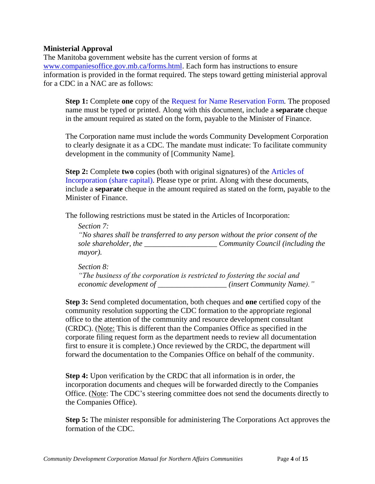## **Ministerial Approval**

The Manitoba government website has the current version of forms at [www.companiesoffice.gov.mb.ca/forms.html.](http://www.companiesoffice.gov.mb.ca/forms.html) Each form has instructions to ensure information is provided in the format required. The steps toward getting ministerial approval for a CDC in a NAC are as follows:

**Step 1:** Complete **one** copy of the [Request for Name Reservation Form](http://www.companiesoffice.gov.mb.ca/forms/Request%20for%20Name%20Reservation.pdf)*.* The proposed name must be typed or printed. Along with this document, include a **separate** cheque in the amount required as stated on the form, payable to the Minister of Finance.

The Corporation name must include the words Community Development Corporation to clearly designate it as a CDC. The mandate must indicate: To facilitate community development in the community of [Community Name].

**Step 2:** Complete **two** copies (both with original signatures) of the [Articles of](http://www.companiesoffice.gov.mb.ca/forms/incorporation_share_e.pdf)  [Incorporation \(share capital\).](http://www.companiesoffice.gov.mb.ca/forms/incorporation_share_e.pdf) Please type or print. Along with these documents, include a **separate** cheque in the amount required as stated on the form, payable to the Minister of Finance.

The following restrictions must be stated in the Articles of Incorporation:

*Section 7: "No shares shall be transferred to any person without the prior consent of the sole shareholder, the \_\_\_\_\_\_\_\_\_\_\_\_\_\_\_\_\_\_\_ Community Council (including the mayor).*

*Section 8: "The business of the corporation is restricted to fostering the social and economic development of \_\_\_\_\_\_\_\_\_\_\_\_\_\_\_\_\_\_ (insert Community Name)."*

**Step 3:** Send completed documentation, both cheques and **one** certified copy of the community resolution supporting the CDC formation to the appropriate regional office to the attention of the community and resource development consultant (CRDC). (Note: This is different than the Companies Office as specified in the corporate filing request form as the department needs to review all documentation first to ensure it is complete.) Once reviewed by the CRDC, the department will forward the documentation to the Companies Office on behalf of the community.

**Step 4:** Upon verification by the CRDC that all information is in order, the incorporation documents and cheques will be forwarded directly to the Companies Office. (Note: The CDC's steering committee does not send the documents directly to the Companies Office).

**Step 5:** The minister responsible for administering The Corporations Act approves the formation of the CDC.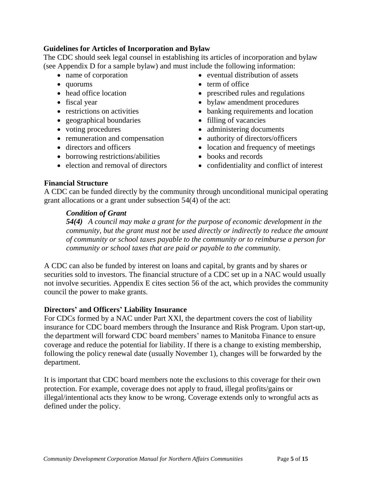## **Guidelines for Articles of Incorporation and Bylaw**

The CDC should seek legal counsel in establishing its articles of incorporation and bylaw (see Appendix D for a sample bylaw) and must include the following information:

- name of corporation
- quorums
- head office location
- fiscal year
- restrictions on activities
- geographical boundaries
- voting procedures
- remuneration and compensation
- directors and officers
- borrowing restrictions/abilities
- election and removal of directors
- eventual distribution of assets
- term of office
- prescribed rules and regulations
- bylaw amendment procedures
- banking requirements and location
- filling of vacancies
- administering documents
- authority of directors/officers
- location and frequency of meetings
- books and records
- confidentiality and conflict of interest

## **Financial Structure**

A CDC can be funded directly by the community through unconditional municipal operating grant allocations or a grant under subsection 54(4) of the act:

## *Condition of Grant*

*54(4) A council may make a grant for the purpose of economic development in the community, but the grant must not be used directly or indirectly to reduce the amount of community or school taxes payable to the community or to reimburse a person for community or school taxes that are paid or payable to the community.*

A CDC can also be funded by interest on loans and capital, by grants and by shares or securities sold to investors. The financial structure of a CDC set up in a NAC would usually not involve securities. Appendix E cites section 56 of the act, which provides the community council the power to make grants.

# **Directors' and Officers' Liability Insurance**

For CDCs formed by a NAC under Part XXI, the department covers the cost of liability insurance for CDC board members through the Insurance and Risk Program. Upon start-up, the department will forward CDC board members' names to Manitoba Finance to ensure coverage and reduce the potential for liability. If there is a change to existing membership, following the policy renewal date (usually November 1), changes will be forwarded by the department.

It is important that CDC board members note the exclusions to this coverage for their own protection. For example, coverage does not apply to fraud, illegal profits/gains or illegal/intentional acts they know to be wrong. Coverage extends only to wrongful acts as defined under the policy.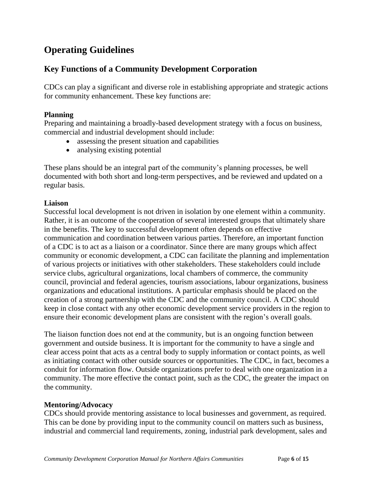# **Operating Guidelines**

# **Key Functions of a Community Development Corporation**

CDCs can play a significant and diverse role in establishing appropriate and strategic actions for community enhancement. These key functions are:

## **Planning**

Preparing and maintaining a broadly-based development strategy with a focus on business, commercial and industrial development should include:

- assessing the present situation and capabilities
- analysing existing potential

These plans should be an integral part of the community's planning processes, be well documented with both short and long-term perspectives, and be reviewed and updated on a regular basis.

## **Liaison**

Successful local development is not driven in isolation by one element within a community. Rather, it is an outcome of the cooperation of several interested groups that ultimately share in the benefits. The key to successful development often depends on effective communication and coordination between various parties. Therefore, an important function of a CDC is to act as a liaison or a coordinator. Since there are many groups which affect community or economic development, a CDC can facilitate the planning and implementation of various projects or initiatives with other stakeholders. These stakeholders could include service clubs, agricultural organizations, local chambers of commerce, the community council, provincial and federal agencies, tourism associations, labour organizations, business organizations and educational institutions. A particular emphasis should be placed on the creation of a strong partnership with the CDC and the community council. A CDC should keep in close contact with any other economic development service providers in the region to ensure their economic development plans are consistent with the region's overall goals.

The liaison function does not end at the community, but is an ongoing function between government and outside business. It is important for the community to have a single and clear access point that acts as a central body to supply information or contact points, as well as initiating contact with other outside sources or opportunities. The CDC, in fact, becomes a conduit for information flow. Outside organizations prefer to deal with one organization in a community. The more effective the contact point, such as the CDC, the greater the impact on the community.

#### **Mentoring/Advocacy**

CDCs should provide mentoring assistance to local businesses and government, as required. This can be done by providing input to the community council on matters such as business, industrial and commercial land requirements, zoning, industrial park development, sales and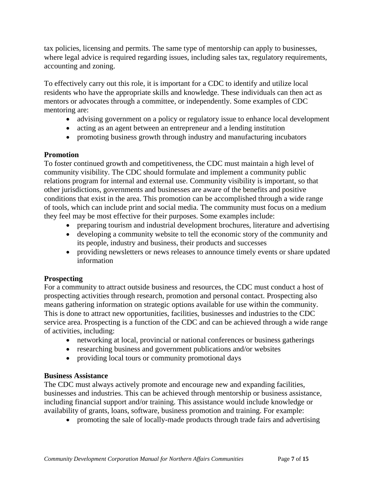tax policies, licensing and permits. The same type of mentorship can apply to businesses, where legal advice is required regarding issues, including sales tax, regulatory requirements, accounting and zoning.

To effectively carry out this role, it is important for a CDC to identify and utilize local residents who have the appropriate skills and knowledge. These individuals can then act as mentors or advocates through a committee, or independently. Some examples of CDC mentoring are:

- advising government on a policy or regulatory issue to enhance local development
- acting as an agent between an entrepreneur and a lending institution
- promoting business growth through industry and manufacturing incubators

# **Promotion**

To foster continued growth and competitiveness, the CDC must maintain a high level of community visibility. The CDC should formulate and implement a community public relations program for internal and external use. Community visibility is important, so that other jurisdictions, governments and businesses are aware of the benefits and positive conditions that exist in the area. This promotion can be accomplished through a wide range of tools, which can include print and social media. The community must focus on a medium they feel may be most effective for their purposes. Some examples include:

- preparing tourism and industrial development brochures, literature and advertising
- developing a community website to tell the economic story of the community and its people, industry and business, their products and successes
- providing newsletters or news releases to announce timely events or share updated information

# **Prospecting**

For a community to attract outside business and resources, the CDC must conduct a host of prospecting activities through research, promotion and personal contact. Prospecting also means gathering information on strategic options available for use within the community. This is done to attract new opportunities, facilities, businesses and industries to the CDC service area. Prospecting is a function of the CDC and can be achieved through a wide range of activities, including:

- networking at local, provincial or national conferences or business gatherings
- researching business and government publications and/or websites
- providing local tours or community promotional days

# **Business Assistance**

The CDC must always actively promote and encourage new and expanding facilities, businesses and industries. This can be achieved through mentorship or business assistance, including financial support and/or training. This assistance would include knowledge or availability of grants, loans, software, business promotion and training. For example:

promoting the sale of locally-made products through trade fairs and advertising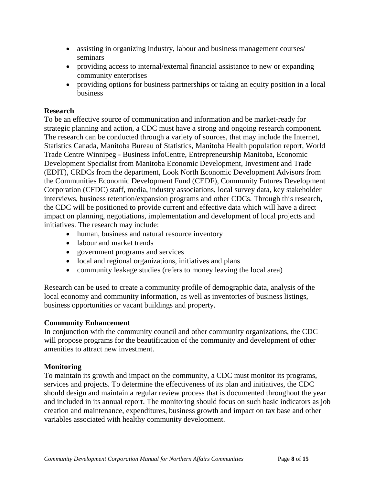- assisting in organizing industry, labour and business management courses/ seminars
- providing access to internal/external financial assistance to new or expanding community enterprises
- providing options for business partnerships or taking an equity position in a local business

## **Research**

To be an effective source of communication and information and be market-ready for strategic planning and action, a CDC must have a strong and ongoing research component. The research can be conducted through a variety of sources, that may include the Internet, Statistics Canada, Manitoba Bureau of Statistics, Manitoba Health population report, World Trade Centre Winnipeg - Business InfoCentre, Entrepreneurship Manitoba, Economic Development Specialist from Manitoba Economic Development, Investment and Trade (EDIT), CRDCs from the department, Look North Economic Development Advisors from the Communities Economic Development Fund (CEDF), Community Futures Development Corporation (CFDC) staff, media, industry associations, local survey data, key stakeholder interviews, business retention/expansion programs and other CDCs. Through this research, the CDC will be positioned to provide current and effective data which will have a direct impact on planning, negotiations, implementation and development of local projects and initiatives. The research may include:

- human, business and natural resource inventory
- labour and market trends
- government programs and services
- local and regional organizations, initiatives and plans
- community leakage studies (refers to money leaving the local area)

Research can be used to create a community profile of demographic data, analysis of the local economy and community information, as well as inventories of business listings, business opportunities or vacant buildings and property.

#### **Community Enhancement**

In conjunction with the community council and other community organizations, the CDC will propose programs for the beautification of the community and development of other amenities to attract new investment.

#### **Monitoring**

To maintain its growth and impact on the community, a CDC must monitor its programs, services and projects. To determine the effectiveness of its plan and initiatives, the CDC should design and maintain a regular review process that is documented throughout the year and included in its annual report. The monitoring should focus on such basic indicators as job creation and maintenance, expenditures, business growth and impact on tax base and other variables associated with healthy community development.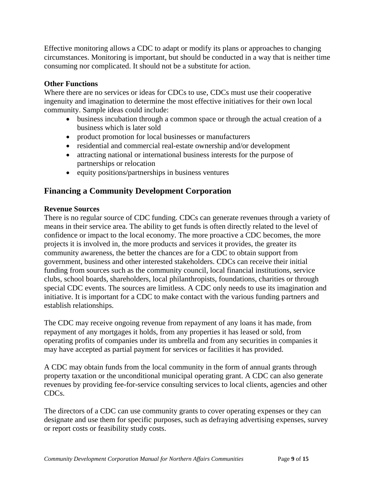Effective monitoring allows a CDC to adapt or modify its plans or approaches to changing circumstances. Monitoring is important, but should be conducted in a way that is neither time consuming nor complicated. It should not be a substitute for action.

# **Other Functions**

Where there are no services or ideas for CDCs to use, CDCs must use their cooperative ingenuity and imagination to determine the most effective initiatives for their own local community. Sample ideas could include:

- business incubation through a common space or through the actual creation of a business which is later sold
- product promotion for local businesses or manufacturers
- residential and commercial real-estate ownership and/or development
- attracting national or international business interests for the purpose of partnerships or relocation
- equity positions/partnerships in business ventures

# **Financing a Community Development Corporation**

# **Revenue Sources**

There is no regular source of CDC funding. CDCs can generate revenues through a variety of means in their service area. The ability to get funds is often directly related to the level of confidence or impact to the local economy. The more proactive a CDC becomes, the more projects it is involved in, the more products and services it provides, the greater its community awareness, the better the chances are for a CDC to obtain support from government, business and other interested stakeholders. CDCs can receive their initial funding from sources such as the community council, local financial institutions, service clubs, school boards, shareholders, local philanthropists, foundations, charities or through special CDC events. The sources are limitless. A CDC only needs to use its imagination and initiative. It is important for a CDC to make contact with the various funding partners and establish relationships.

The CDC may receive ongoing revenue from repayment of any loans it has made, from repayment of any mortgages it holds, from any properties it has leased or sold, from operating profits of companies under its umbrella and from any securities in companies it may have accepted as partial payment for services or facilities it has provided.

A CDC may obtain funds from the local community in the form of annual grants through property taxation or the unconditional municipal operating grant. A CDC can also generate revenues by providing fee-for-service consulting services to local clients, agencies and other CDCs.

The directors of a CDC can use community grants to cover operating expenses or they can designate and use them for specific purposes, such as defraying advertising expenses, survey or report costs or feasibility study costs.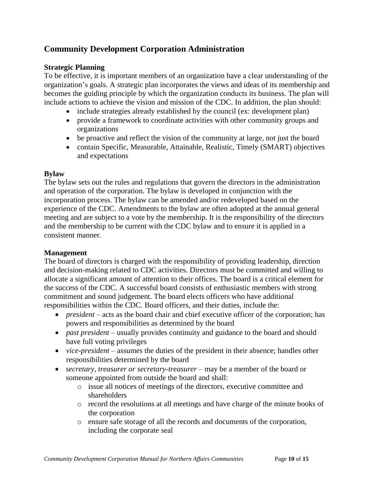# **Community Development Corporation Administration**

## **Strategic Planning**

To be effective, it is important members of an organization have a clear understanding of the organization's goals. A strategic plan incorporates the views and ideas of its membership and becomes the guiding principle by which the organization conducts its business. The plan will include actions to achieve the vision and mission of the CDC. In addition, the plan should:

- include strategies already established by the council (ex: development plan)
- provide a framework to coordinate activities with other community groups and organizations
- be proactive and reflect the vision of the community at large, not just the board
- contain Specific, Measurable, Attainable, Realistic, Timely (SMART) objectives and expectations

## **Bylaw**

The bylaw sets out the rules and regulations that govern the directors in the administration and operation of the corporation. The bylaw is developed in conjunction with the incorporation process. The bylaw can be amended and/or redeveloped based on the experience of the CDC. Amendments to the bylaw are often adopted at the annual general meeting and are subject to a vote by the membership. It is the responsibility of the directors and the membership to be current with the CDC bylaw and to ensure it is applied in a consistent manner.

#### **Management**

The board of directors is charged with the responsibility of providing leadership, direction and decision-making related to CDC activities. Directors must be committed and willing to allocate a significant amount of attention to their offices. The board is a critical element for the success of the CDC. A successful board consists of enthusiastic members with strong commitment and sound judgement. The board elects officers who have additional responsibilities within the CDC. Board officers, and their duties, include the:

- *president* acts as the board chair and chief executive officer of the corporation; has powers and responsibilities as determined by the board
- *past president* usually provides continuity and guidance to the board and should have full voting privileges
- *vice-president* assumes the duties of the president in their absence; handles other responsibilities determined by the board
- *secretary, treasurer or secretary-treasurer* may be a member of the board or someone appointed from outside the board and shall:
	- o issue all notices of meetings of the directors, executive committee and shareholders
	- o record the resolutions at all meetings and have charge of the minute books of the corporation
	- o ensure safe storage of all the records and documents of the corporation, including the corporate seal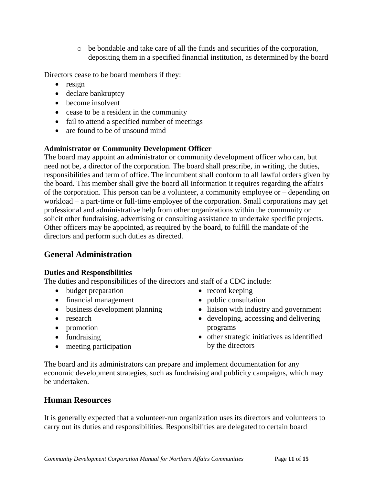o be bondable and take care of all the funds and securities of the corporation, depositing them in a specified financial institution, as determined by the board

Directors cease to be board members if they:

- $\bullet$  resign
- declare bankruptcy
- become insolvent
- cease to be a resident in the community
- fail to attend a specified number of meetings
- are found to be of unsound mind

# **Administrator or Community Development Officer**

The board may appoint an administrator or community development officer who can, but need not be, a director of the corporation. The board shall prescribe, in writing, the duties, responsibilities and term of office. The incumbent shall conform to all lawful orders given by the board. This member shall give the board all information it requires regarding the affairs of the corporation. This person can be a volunteer, a community employee or – depending on workload – a part-time or full-time employee of the corporation. Small corporations may get professional and administrative help from other organizations within the community or solicit other fundraising, advertising or consulting assistance to undertake specific projects. Other officers may be appointed, as required by the board, to fulfill the mandate of the directors and perform such duties as directed.

# **General Administration**

#### **Duties and Responsibilities**

The duties and responsibilities of the directors and staff of a CDC include:

- budget preparation
- financial management
- business development planning
- research
- promotion
- fundraising
- meeting participation
- $\bullet$  record keeping
- public consultation
- liaison with industry and government
- developing, accessing and delivering programs
- other strategic initiatives as identified by the directors

The board and its administrators can prepare and implement documentation for any economic development strategies, such as fundraising and publicity campaigns, which may be undertaken.

# **Human Resources**

It is generally expected that a volunteer-run organization uses its directors and volunteers to carry out its duties and responsibilities. Responsibilities are delegated to certain board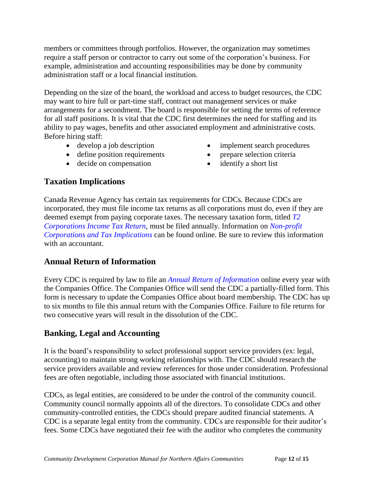members or committees through portfolios. However, the organization may sometimes require a staff person or contractor to carry out some of the corporation's business. For example, administration and accounting responsibilities may be done by community administration staff or a local financial institution.

Depending on the size of the board, the workload and access to budget resources, the CDC may want to hire full or part-time staff, contract out management services or make arrangements for a secondment. The board is responsible for setting the terms of reference for all staff positions. It is vital that the CDC first determines the need for staffing and its ability to pay wages, benefits and other associated employment and administrative costs. Before hiring staff:

• develop a job description

- implement search procedures
- define position requirements
- decide on compensation
- prepare selection criteria
- identify a short list

# **Taxation Implications**

Canada Revenue Agency has certain tax requirements for CDCs. Because CDCs are incorporated, they must file income tax returns as all corporations must do, even if they are deemed exempt from paying corporate taxes. The necessary taxation form, titled *[T2](https://www.canada.ca/en/revenue-agency/services/forms-publications/forms/t2.html)  [Corporations Income Tax Return](https://www.canada.ca/en/revenue-agency/services/forms-publications/forms/t2.html)*, must be filed annually. Information on *[Non-profit](https://www.canada.ca/en/revenue-agency/services/forms-publications/publications/t4117.html)  [Corporations and Tax Implications](https://www.canada.ca/en/revenue-agency/services/forms-publications/publications/t4117.html)* can be found online. Be sure to review this information with an accountant.

# **Annual Return of Information**

Every CDC is required by law to file an *[Annual Return of Information](http://www.companiesoffice.gov.mb.ca/forms.html#manitobacorps)* online every year with the Companies Office. The Companies Office will send the CDC a partially-filled form. This form is necessary to update the Companies Office about board membership. The CDC has up to six months to file this annual return with the Companies Office. Failure to file returns for two consecutive years will result in the dissolution of the CDC.

# **Banking, Legal and Accounting**

It is the board's responsibility to select professional support service providers (ex: legal, accounting) to maintain strong working relationships with. The CDC should research the service providers available and review references for those under consideration. Professional fees are often negotiable, including those associated with financial institutions.

CDCs, as legal entities, are considered to be under the control of the community council. Community council normally appoints all of the directors. To consolidate CDCs and other community-controlled entities, the CDCs should prepare audited financial statements. A CDC is a separate legal entity from the community. CDCs are responsible for their auditor's fees. Some CDCs have negotiated their fee with the auditor who completes the community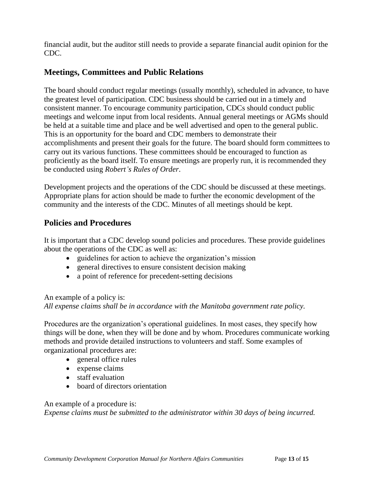financial audit, but the auditor still needs to provide a separate financial audit opinion for the CDC.

# **Meetings, Committees and Public Relations**

The board should conduct regular meetings (usually monthly), scheduled in advance, to have the greatest level of participation. CDC business should be carried out in a timely and consistent manner. To encourage community participation, CDCs should conduct public meetings and welcome input from local residents. Annual general meetings or AGMs should be held at a suitable time and place and be well advertised and open to the general public. This is an opportunity for the board and CDC members to demonstrate their accomplishments and present their goals for the future. The board should form committees to carry out its various functions. These committees should be encouraged to function as proficiently as the board itself. To ensure meetings are properly run, it is recommended they be conducted using *Robert's Rules of Order*.

Development projects and the operations of the CDC should be discussed at these meetings. Appropriate plans for action should be made to further the economic development of the community and the interests of the CDC. Minutes of all meetings should be kept.

# **Policies and Procedures**

It is important that a CDC develop sound policies and procedures. These provide guidelines about the operations of the CDC as well as:

- guidelines for action to achieve the organization's mission
- general directives to ensure consistent decision making
- a point of reference for precedent-setting decisions

An example of a policy is:

*All expense claims shall be in accordance with the Manitoba government rate policy.*

Procedures are the organization's operational guidelines. In most cases, they specify how things will be done, when they will be done and by whom. Procedures communicate working methods and provide detailed instructions to volunteers and staff. Some examples of organizational procedures are:

- general office rules
- expense claims
- staff evaluation
- board of directors orientation

An example of a procedure is:

*Expense claims must be submitted to the administrator within 30 days of being incurred.*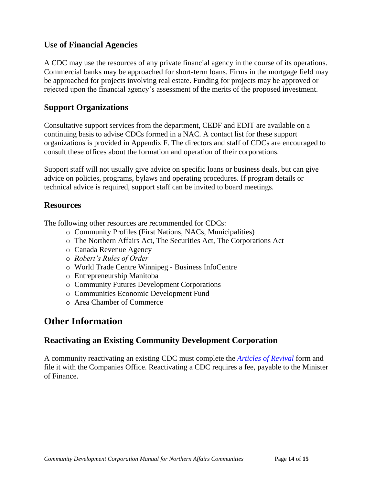# **Use of Financial Agencies**

A CDC may use the resources of any private financial agency in the course of its operations. Commercial banks may be approached for short-term loans. Firms in the mortgage field may be approached for projects involving real estate. Funding for projects may be approved or rejected upon the financial agency's assessment of the merits of the proposed investment.

# **Support Organizations**

Consultative support services from the department, CEDF and EDIT are available on a continuing basis to advise CDCs formed in a NAC. A contact list for these support organizations is provided in Appendix F. The directors and staff of CDCs are encouraged to consult these offices about the formation and operation of their corporations.

Support staff will not usually give advice on specific loans or business deals, but can give advice on policies, programs, bylaws and operating procedures. If program details or technical advice is required, support staff can be invited to board meetings.

# **Resources**

The following other resources are recommended for CDCs:

- o Community Profiles (First Nations, NACs, Municipalities)
- o The Northern Affairs Act, The Securities Act, The Corporations Act
- o Canada Revenue Agency
- o *Robert's Rules of Order*
- o World Trade Centre Winnipeg Business InfoCentre
- o Entrepreneurship Manitoba
- o Community Futures Development Corporations
- o Communities Economic Development Fund
- o Area Chamber of Commerce

# **Other Information**

# **Reactivating an Existing Community Development Corporation**

A community reactivating an existing CDC must complete the *[Articles of Revival](http://www.companiesoffice.gov.mb.ca/forms/revival_e.pdf)* form and file it with the Companies Office. Reactivating a CDC requires a fee, payable to the Minister of Finance.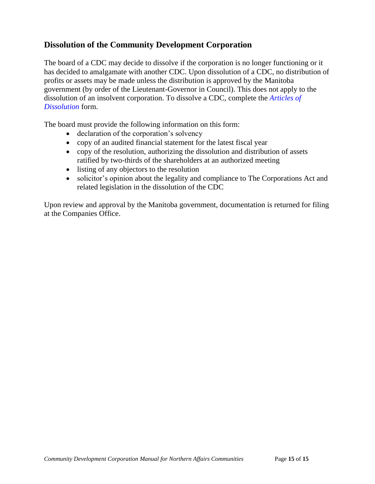# **Dissolution of the Community Development Corporation**

The board of a CDC may decide to dissolve if the corporation is no longer functioning or it has decided to amalgamate with another CDC. Upon dissolution of a CDC, no distribution of profits or assets may be made unless the distribution is approved by the Manitoba government (by order of the Lieutenant-Governor in Council). This does not apply to the dissolution of an insolvent corporation. To dissolve a CDC, complete the *[Articles of](http://www.companiesoffice.gov.mb.ca/forms/articles_dissolution.pdf)  [Dissolution](http://www.companiesoffice.gov.mb.ca/forms/articles_dissolution.pdf)* form.

The board must provide the following information on this form:

- declaration of the corporation's solvency
- copy of an audited financial statement for the latest fiscal year
- copy of the resolution, authorizing the dissolution and distribution of assets ratified by two-thirds of the shareholders at an authorized meeting
- listing of any objectors to the resolution
- solicitor's opinion about the legality and compliance to The Corporations Act and related legislation in the dissolution of the CDC

Upon review and approval by the Manitoba government, documentation is returned for filing at the Companies Office.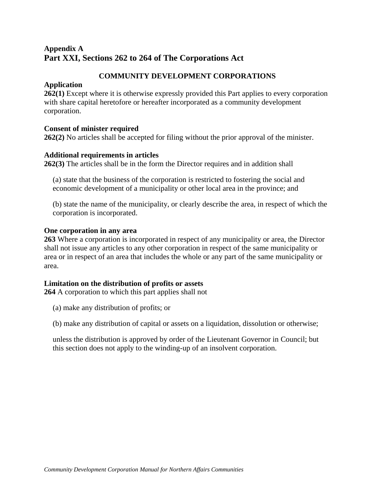# **Appendix A Part XXI, Sections 262 to 264 of The Corporations Act**

# **COMMUNITY DEVELOPMENT CORPORATIONS**

## **Application**

**[262\(1\)](https://web2.gov.mb.ca/laws/statutes/ccsm/c225_2f.php#262)** Except where it is otherwise expressly provided this Part applies to every corporation with share capital heretofore or hereafter incorporated as a community development corporation.

# **Consent of minister required**

**[262\(2\)](https://web2.gov.mb.ca/laws/statutes/ccsm/c225_2f.php#262(2))** No articles shall be accepted for filing without the prior approval of the minister.

## **Additional requirements in articles**

**[262\(3\)](https://web2.gov.mb.ca/laws/statutes/ccsm/c225_2f.php#262(3))** The articles shall be in the form the Director requires and in addition shall

(a) state that the business of the corporation is restricted to fostering the social and economic development of a municipality or other local area in the province; and

(b) state the name of the municipality, or clearly describe the area, in respect of which the corporation is incorporated.

## **One corporation in any area**

**[263](https://web2.gov.mb.ca/laws/statutes/ccsm/c225_2f.php#263)** Where a corporation is incorporated in respect of any municipality or area, the Director shall not issue any articles to any other corporation in respect of the same municipality or area or in respect of an area that includes the whole or any part of the same municipality or area.

# **Limitation on the distribution of profits or assets**

**[264](https://web2.gov.mb.ca/laws/statutes/ccsm/c225_2f.php#263)** A corporation to which this part applies shall not

(a) make any distribution of profits; or

(b) make any distribution of capital or assets on a liquidation, dissolution or otherwise;

unless the distribution is approved by order of the Lieutenant Governor in Council; but this section does not apply to the winding-up of an insolvent corporation.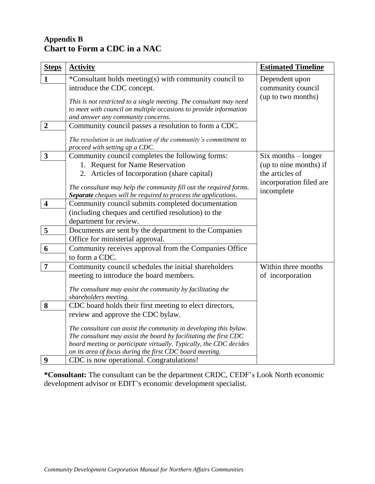# **Appendix B Chart to Form a CDC in a NAC**

| <b>Steps</b>            | <b>Activity</b>                                                                                                                          | <b>Estimated Timeline</b> |
|-------------------------|------------------------------------------------------------------------------------------------------------------------------------------|---------------------------|
| $\mathbf{1}$            | *Consultant holds meeting(s) with community council to                                                                                   | Dependent upon            |
|                         | introduce the CDC concept.                                                                                                               | community council         |
|                         |                                                                                                                                          | (up to two months)        |
|                         | This is not restricted to a single meeting. The consultant may need<br>to meet with council on multiple occasions to provide information |                           |
|                         | and answer any community concerns.                                                                                                       |                           |
| $\overline{\mathbf{2}}$ | Community council passes a resolution to form a CDC.                                                                                     |                           |
|                         |                                                                                                                                          |                           |
|                         | The resolution is an indication of the community's commitment to                                                                         |                           |
|                         | proceed with setting up a CDC.                                                                                                           |                           |
| $\mathbf{3}$            | Community council completes the following forms:                                                                                         | $Six months - longer$     |
|                         | 1. Request for Name Reservation                                                                                                          | (up to nine months) if    |
|                         | 2. Articles of Incorporation (share capital)                                                                                             | the articles of           |
|                         | The consultant may help the community fill out the required forms.                                                                       | incorporation filed are   |
|                         | Separate cheques will be required to process the applications.                                                                           | incomplete                |
| $\overline{\mathbf{4}}$ | Community council submits completed documentation                                                                                        |                           |
|                         | (including cheques and certified resolution) to the                                                                                      |                           |
|                         | department for review.                                                                                                                   |                           |
| 5                       | Documents are sent by the department to the Companies                                                                                    |                           |
|                         | Office for ministerial approval.                                                                                                         |                           |
| 6                       | Community receives approval from the Companies Office                                                                                    |                           |
|                         | to form a CDC.                                                                                                                           |                           |
| $\overline{7}$          | Community council schedules the initial shareholders                                                                                     | Within three months       |
|                         | meeting to introduce the board members.                                                                                                  | of incorporation          |
|                         |                                                                                                                                          |                           |
|                         | The consultant may assist the community by facilitating the<br>shareholders meeting.                                                     |                           |
| 8                       | CDC board holds their first meeting to elect directors,                                                                                  |                           |
|                         | review and approve the CDC bylaw.                                                                                                        |                           |
|                         |                                                                                                                                          |                           |
|                         | The consultant can assist the community in developing this bylaw.                                                                        |                           |
|                         | The consultant may assist the board by facilitating the first CDC                                                                        |                           |
|                         | board meeting or participate virtually. Typically, the CDC decides                                                                       |                           |
|                         | on its area of focus during the first CDC board meeting.                                                                                 |                           |
| 9                       | CDC is now operational. Congratulations!                                                                                                 |                           |

**\*Consultant:** The consultant can be the department CRDC, CEDF's Look North economic development advisor or EDIT's economic development specialist.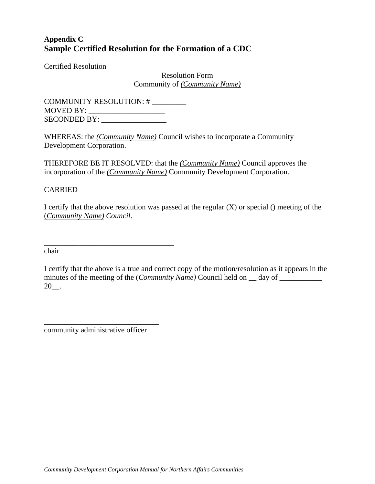# **Appendix C Sample Certified Resolution for the Formation of a CDC**

Certified Resolution

Resolution Form Community of *(Community Name)*

COMMUNITY RESOLUTION: # \_\_\_\_\_\_\_\_\_  $MoyED BY:$ SECONDED BY:

\_\_\_\_\_\_\_\_\_\_\_\_\_\_\_\_\_\_\_\_\_\_\_\_\_\_\_\_\_\_\_\_\_\_

WHEREAS: the *(Community Name)* Council wishes to incorporate a Community Development Corporation.

THEREFORE BE IT RESOLVED: that the *(Community Name)* Council approves the incorporation of the *(Community Name)* Community Development Corporation.

#### CARRIED

I certify that the above resolution was passed at the regular  $(X)$  or special () meeting of the (*Community Name) Council*.

chair

I certify that the above is a true and correct copy of the motion/resolution as it appears in the minutes of the meeting of the (*Community Name*) Council held on <u>quare day of  $\frac{1}{\sqrt{2\pi}}$ </u> 20\_\_.

community administrative officer

\_\_\_\_\_\_\_\_\_\_\_\_\_\_\_\_\_\_\_\_\_\_\_\_\_\_\_\_\_\_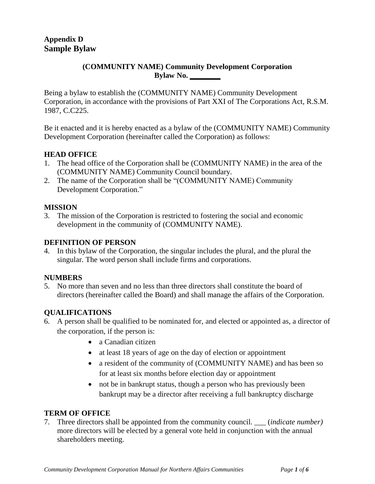#### **(COMMUNITY NAME) Community Development Corporation Bylaw No. \_\_\_\_\_\_\_\_**

Being a bylaw to establish the (COMMUNITY NAME) Community Development Corporation, in accordance with the provisions of Part XXI of The Corporations Act, R.S.M. 1987, C.C225.

Be it enacted and it is hereby enacted as a bylaw of the (COMMUNITY NAME) Community Development Corporation (hereinafter called the Corporation) as follows:

# **HEAD OFFICE**

- 1. The head office of the Corporation shall be (COMMUNITY NAME) in the area of the (COMMUNITY NAME) Community Council boundary.
- 2. The name of the Corporation shall be "(COMMUNITY NAME) Community Development Corporation."

#### **MISSION**

3. The mission of the Corporation is restricted to fostering the social and economic development in the community of (COMMUNITY NAME).

## **DEFINITION OF PERSON**

4. In this bylaw of the Corporation, the singular includes the plural, and the plural the singular. The word person shall include firms and corporations.

#### **NUMBERS**

5. No more than seven and no less than three directors shall constitute the board of directors (hereinafter called the Board) and shall manage the affairs of the Corporation.

# **QUALIFICATIONS**

- 6. A person shall be qualified to be nominated for, and elected or appointed as, a director of the corporation, if the person is:
	- a Canadian citizen
	- at least 18 years of age on the day of election or appointment
	- a resident of the community of (COMMUNITY NAME) and has been so for at least six months before election day or appointment
	- not be in bankrupt status, though a person who has previously been bankrupt may be a director after receiving a full bankruptcy discharge

# **TERM OF OFFICE**

7. Three directors shall be appointed from the community council. \_\_\_ (*indicate number)* more directors will be elected by a general vote held in conjunction with the annual shareholders meeting.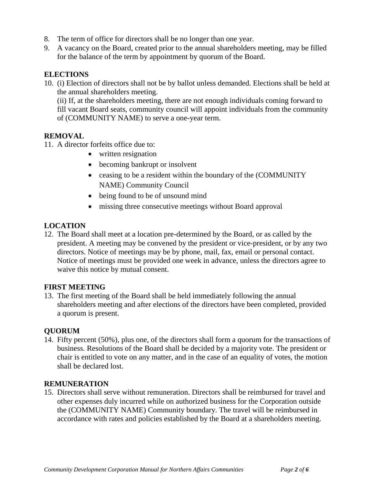- 8. The term of office for directors shall be no longer than one year.
- 9. A vacancy on the Board, created prior to the annual shareholders meeting, may be filled for the balance of the term by appointment by quorum of the Board.

## **ELECTIONS**

10. (i) Election of directors shall not be by ballot unless demanded. Elections shall be held at the annual shareholders meeting.

(ii) If, at the shareholders meeting, there are not enough individuals coming forward to fill vacant Board seats, community council will appoint individuals from the community of (COMMUNITY NAME) to serve a one-year term.

## **REMOVAL**

- 11. A director forfeits office due to:
	- written resignation
	- becoming bankrupt or insolvent
	- ceasing to be a resident within the boundary of the (COMMUNITY NAME) Community Council
	- being found to be of unsound mind
	- missing three consecutive meetings without Board approval

#### **LOCATION**

12. The Board shall meet at a location pre-determined by the Board, or as called by the president. A meeting may be convened by the president or vice-president, or by any two directors. Notice of meetings may be by phone, mail, fax, email or personal contact. Notice of meetings must be provided one week in advance, unless the directors agree to waive this notice by mutual consent.

#### **FIRST MEETING**

13. The first meeting of the Board shall be held immediately following the annual shareholders meeting and after elections of the directors have been completed, provided a quorum is present.

#### **QUORUM**

14. Fifty percent (50%), plus one, of the directors shall form a quorum for the transactions of business. Resolutions of the Board shall be decided by a majority vote. The president or chair is entitled to vote on any matter, and in the case of an equality of votes, the motion shall be declared lost.

#### **REMUNERATION**

15. Directors shall serve without remuneration. Directors shall be reimbursed for travel and other expenses duly incurred while on authorized business for the Corporation outside the (COMMUNITY NAME) Community boundary. The travel will be reimbursed in accordance with rates and policies established by the Board at a shareholders meeting.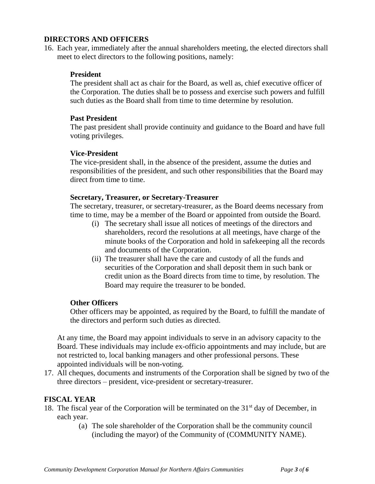#### **DIRECTORS AND OFFICERS**

16. Each year, immediately after the annual shareholders meeting, the elected directors shall meet to elect directors to the following positions, namely:

#### **President**

The president shall act as chair for the Board, as well as, chief executive officer of the Corporation. The duties shall be to possess and exercise such powers and fulfill such duties as the Board shall from time to time determine by resolution.

#### **Past President**

The past president shall provide continuity and guidance to the Board and have full voting privileges.

#### **Vice-President**

The vice-president shall, in the absence of the president, assume the duties and responsibilities of the president, and such other responsibilities that the Board may direct from time to time.

#### **Secretary, Treasurer, or Secretary-Treasurer**

The secretary, treasurer, or secretary-treasurer, as the Board deems necessary from time to time, may be a member of the Board or appointed from outside the Board.

- (i) The secretary shall issue all notices of meetings of the directors and shareholders, record the resolutions at all meetings, have charge of the minute books of the Corporation and hold in safekeeping all the records and documents of the Corporation.
- (ii) The treasurer shall have the care and custody of all the funds and securities of the Corporation and shall deposit them in such bank or credit union as the Board directs from time to time, by resolution. The Board may require the treasurer to be bonded.

#### **Other Officers**

Other officers may be appointed, as required by the Board, to fulfill the mandate of the directors and perform such duties as directed.

At any time, the Board may appoint individuals to serve in an advisory capacity to the Board. These individuals may include ex-officio appointments and may include, but are not restricted to, local banking managers and other professional persons. These appointed individuals will be non-voting.

17. All cheques, documents and instruments of the Corporation shall be signed by two of the three directors – president, vice-president or secretary-treasurer.

#### **FISCAL YEAR**

- 18. The fiscal year of the Corporation will be terminated on the  $31<sup>st</sup>$  day of December, in each year.
	- (a) The sole shareholder of the Corporation shall be the community council (including the mayor) of the Community of (COMMUNITY NAME).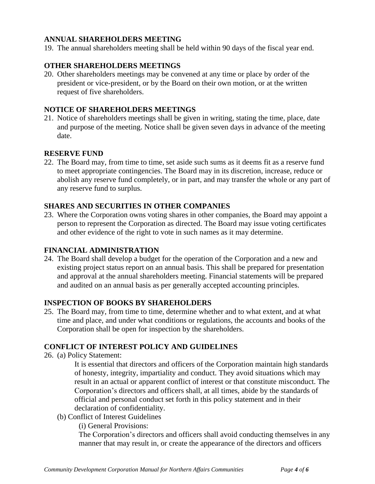## **ANNUAL SHAREHOLDERS MEETING**

19. The annual shareholders meeting shall be held within 90 days of the fiscal year end.

## **OTHER SHAREHOLDERS MEETINGS**

20. Other shareholders meetings may be convened at any time or place by order of the president or vice-president, or by the Board on their own motion, or at the written request of five shareholders.

#### **NOTICE OF SHAREHOLDERS MEETINGS**

21. Notice of shareholders meetings shall be given in writing, stating the time, place, date and purpose of the meeting. Notice shall be given seven days in advance of the meeting date.

#### **RESERVE FUND**

22. The Board may, from time to time, set aside such sums as it deems fit as a reserve fund to meet appropriate contingencies. The Board may in its discretion, increase, reduce or abolish any reserve fund completely, or in part, and may transfer the whole or any part of any reserve fund to surplus.

## **SHARES AND SECURITIES IN OTHER COMPANIES**

23. Where the Corporation owns voting shares in other companies, the Board may appoint a person to represent the Corporation as directed. The Board may issue voting certificates and other evidence of the right to vote in such names as it may determine.

#### **FINANCIAL ADMINISTRATION**

24. The Board shall develop a budget for the operation of the Corporation and a new and existing project status report on an annual basis. This shall be prepared for presentation and approval at the annual shareholders meeting. Financial statements will be prepared and audited on an annual basis as per generally accepted accounting principles.

#### **INSPECTION OF BOOKS BY SHAREHOLDERS**

25. The Board may, from time to time, determine whether and to what extent, and at what time and place, and under what conditions or regulations, the accounts and books of the Corporation shall be open for inspection by the shareholders.

# **CONFLICT OF INTEREST POLICY AND GUIDELINES**

26. (a) Policy Statement:

It is essential that directors and officers of the Corporation maintain high standards of honesty, integrity, impartiality and conduct. They avoid situations which may result in an actual or apparent conflict of interest or that constitute misconduct. The Corporation's directors and officers shall, at all times, abide by the standards of official and personal conduct set forth in this policy statement and in their declaration of confidentiality.

(b) Conflict of Interest Guidelines

(i) General Provisions:

The Corporation's directors and officers shall avoid conducting themselves in any manner that may result in, or create the appearance of the directors and officers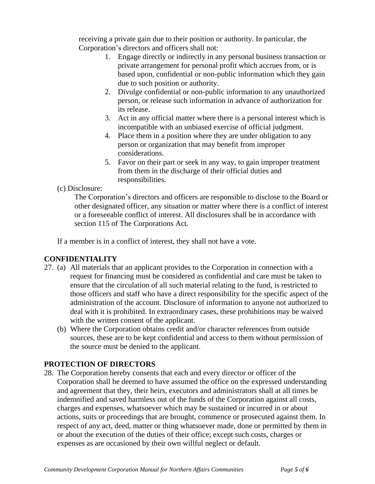receiving a private gain due to their position or authority. In particular, the Corporation's directors and officers shall not:

- 1. Engage directly or indirectly in any personal business transaction or private arrangement for personal profit which accrues from, or is based upon, confidential or non-public information which they gain due to such position or authority.
- 2. Divulge confidential or non-public information to any unauthorized person, or release such information in advance of authorization for its release.
- 3. Act in any official matter where there is a personal interest which is incompatible with an unbiased exercise of official judgment.
- 4. Place them in a position where they are under obligation to any person or organization that may benefit from improper considerations.
- 5. Favor on their part or seek in any way, to gain improper treatment from them in the discharge of their official duties and responsibilities.

# (c) Disclosure:

The Corporation's directors and officers are responsible to disclose to the Board or other designated officer, any situation or matter where there is a conflict of interest or a foreseeable conflict of interest. All disclosures shall be in accordance with section 115 of The Corporations Act.

If a member is in a conflict of interest, they shall not have a vote.

# **CONFIDENTIALITY**

- 27. (a) All materials that an applicant provides to the Corporation in connection with a request for financing must be considered as confidential and care must be taken to ensure that the circulation of all such material relating to the fund, is restricted to those officers and staff who have a direct responsibility for the specific aspect of the administration of the account. Disclosure of information to anyone not authorized to deal with it is prohibited. In extraordinary cases, these prohibitions may be waived with the written consent of the applicant.
	- (b) Where the Corporation obtains credit and/or character references from outside sources, these are to be kept confidential and access to them without permission of the source must be denied to the applicant.

# **PROTECTION OF DIRECTORS**

28. The Corporation hereby consents that each and every director or officer of the Corporation shall be deemed to have assumed the office on the expressed understanding and agreement that they, their heirs, executors and administrators shall at all times be indemnified and saved harmless out of the funds of the Corporation against all costs, charges and expenses, whatsoever which may be sustained or incurred in or about actions, suits or proceedings that are brought, commence or prosecuted against them. In respect of any act, deed, matter or thing whatsoever made, done or permitted by them in or about the execution of the duties of their office; except such costs, charges or expenses as are occasioned by their own willful neglect or default.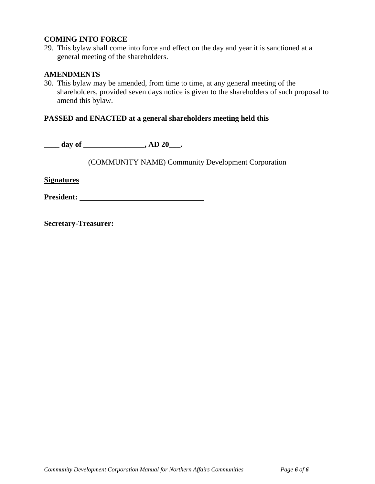#### **COMING INTO FORCE**

29. This bylaw shall come into force and effect on the day and year it is sanctioned at a general meeting of the shareholders.

#### **AMENDMENTS**

30. This bylaw may be amended, from time to time, at any general meeting of the shareholders, provided seven days notice is given to the shareholders of such proposal to amend this bylaw.

#### **PASSED and ENACTED at a general shareholders meeting held this**

\_\_\_\_ **day of** \_\_\_\_\_\_\_\_\_\_\_\_\_\_\_\_**, AD 20**\_\_\_**.**

(COMMUNITY NAME) Community Development Corporation

**Signatures**

**President:**

**Secretary-Treasurer:**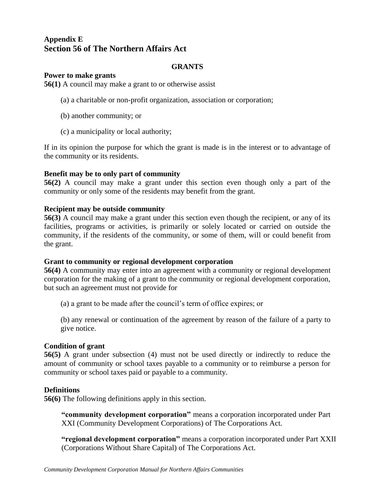# **Appendix E Section 56 of The Northern Affairs Act**

#### **GRANTS**

#### **Power to make grants**

**[56\(1\)](https://web2.gov.mb.ca/laws/statutes/ccsm/n100f.php#56)** A council may make a grant to or otherwise assist

- (a) a charitable or non-profit organization, association or corporation;
- (b) another community; or
- (c) a municipality or local authority;

If in its opinion the purpose for which the grant is made is in the interest or to advantage of the community or its residents.

#### **Benefit may be to only part of community**

**[56\(2\)](https://web2.gov.mb.ca/laws/statutes/ccsm/n100f.php#56(2))** A council may make a grant under this section even though only a part of the community or only some of the residents may benefit from the grant.

#### **Recipient may be outside community**

**[56\(3\)](https://web2.gov.mb.ca/laws/statutes/ccsm/n100f.php#56(3))** A council may make a grant under this section even though the recipient, or any of its facilities, programs or activities, is primarily or solely located or carried on outside the community, if the residents of the community, or some of them, will or could benefit from the grant.

#### **Grant to community or regional development corporation**

**[56\(4\)](https://web2.gov.mb.ca/laws/statutes/ccsm/n100f.php#56(4))** A community may enter into an agreement with a community or regional development corporation for the making of a grant to the community or regional development corporation, but such an agreement must not provide for

(a) a grant to be made after the council's term of office expires; or

(b) any renewal or continuation of the agreement by reason of the failure of a party to give notice.

#### **Condition of grant**

**[56\(5\)](https://web2.gov.mb.ca/laws/statutes/ccsm/n100f.php#56(5))** A grant under subsection (4) must not be used directly or indirectly to reduce the amount of community or school taxes payable to a community or to reimburse a person for community or school taxes paid or payable to a community.

#### **Definitions**

**[56\(6\)](https://web2.gov.mb.ca/laws/statutes/ccsm/n100f.php#56(6))** The following definitions apply in this section.

**"community development corporation"** means a corporation incorporated under Part XXI (Community Development Corporations) of The Corporations Act*.*

**"regional development corporation"** means a corporation incorporated under Part XXII (Corporations Without Share Capital) of The Corporations Act.